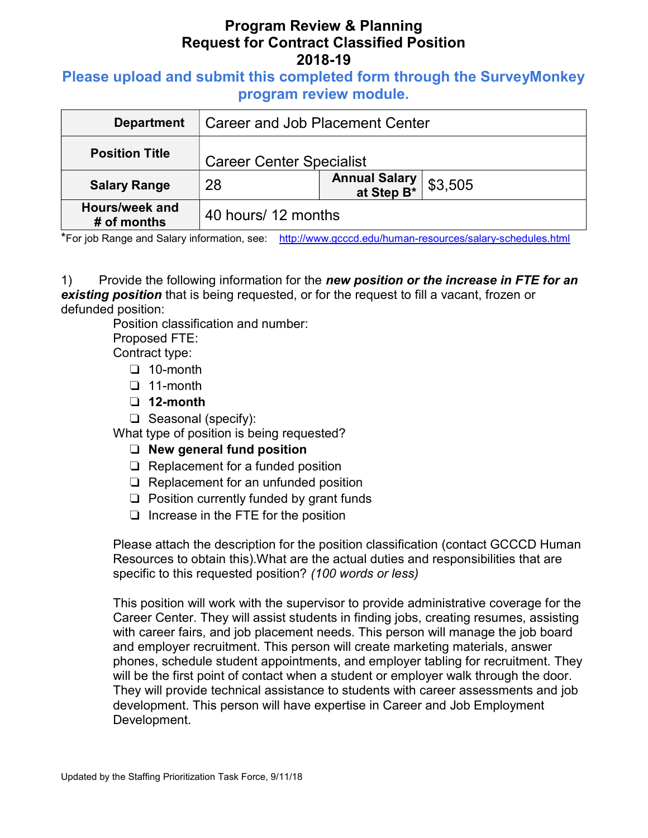# Program Review & Planning Request for Contract Classified Position 2018-19

## Please upload and submit this completed form through the SurveyMonkey program review module.

| <b>Department</b>             | <b>Career and Job Placement Center</b> |                               |         |
|-------------------------------|----------------------------------------|-------------------------------|---------|
| <b>Position Title</b>         | <b>Career Center Specialist</b>        |                               |         |
| <b>Salary Range</b>           | 28                                     | Annual Salary<br>  at Step B* | \$3,505 |
| Hours/week and<br># of months | 40 hours/ 12 months                    |                               |         |

\*For job Range and Salary information, see: http://www.gcccd.edu/human-resources/salary-schedules.html

1) Provide the following information for the new position or the increase in FTE for an **existing position** that is being requested, or for the request to fill a vacant, frozen or defunded position:

Position classification and number:

Proposed FTE:

Contract type:

- ❏ 10-month
- ❏ 11-month
- ❏ 12-month
- ❏ Seasonal (specify):

What type of position is being requested?

#### ❏ New general fund position

- ❏ Replacement for a funded position
- ❏ Replacement for an unfunded position
- ❏ Position currently funded by grant funds
- ❏ Increase in the FTE for the position

Please attach the description for the position classification (contact GCCCD Human Resources to obtain this).What are the actual duties and responsibilities that are specific to this requested position? (100 words or less)

This position will work with the supervisor to provide administrative coverage for the Career Center. They will assist students in finding jobs, creating resumes, assisting with career fairs, and job placement needs. This person will manage the job board and employer recruitment. This person will create marketing materials, answer phones, schedule student appointments, and employer tabling for recruitment. They will be the first point of contact when a student or employer walk through the door. They will provide technical assistance to students with career assessments and job development. This person will have expertise in Career and Job Employment Development.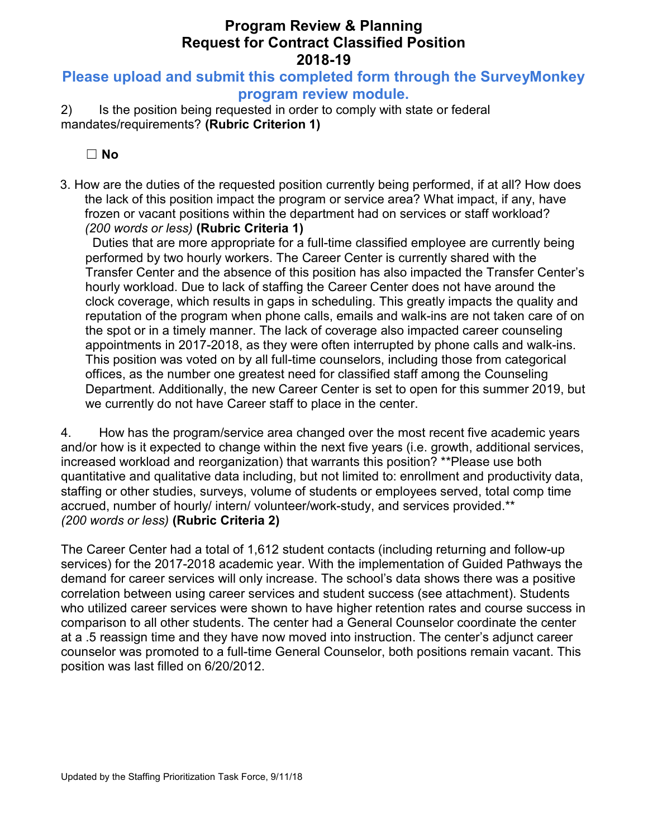# Program Review & Planning Request for Contract Classified Position 2018-19

## Please upload and submit this completed form through the SurveyMonkey program review module.

2) Is the position being requested in order to comply with state or federal mandates/requirements? (Rubric Criterion 1)

☐ No

3. How are the duties of the requested position currently being performed, if at all? How does the lack of this position impact the program or service area? What impact, if any, have frozen or vacant positions within the department had on services or staff workload? (200 words or less) (Rubric Criteria 1)

Duties that are more appropriate for a full-time classified employee are currently being performed by two hourly workers. The Career Center is currently shared with the Transfer Center and the absence of this position has also impacted the Transfer Center's hourly workload. Due to lack of staffing the Career Center does not have around the clock coverage, which results in gaps in scheduling. This greatly impacts the quality and reputation of the program when phone calls, emails and walk-ins are not taken care of on the spot or in a timely manner. The lack of coverage also impacted career counseling appointments in 2017-2018, as they were often interrupted by phone calls and walk-ins. This position was voted on by all full-time counselors, including those from categorical offices, as the number one greatest need for classified staff among the Counseling Department. Additionally, the new Career Center is set to open for this summer 2019, but we currently do not have Career staff to place in the center.

4. How has the program/service area changed over the most recent five academic years and/or how is it expected to change within the next five years (i.e. growth, additional services, increased workload and reorganization) that warrants this position? \*\*Please use both quantitative and qualitative data including, but not limited to: enrollment and productivity data, staffing or other studies, surveys, volume of students or employees served, total comp time accrued, number of hourly/ intern/ volunteer/work-study, and services provided.\*\* (200 words or less) (Rubric Criteria 2)

The Career Center had a total of 1,612 student contacts (including returning and follow-up services) for the 2017-2018 academic year. With the implementation of Guided Pathways the demand for career services will only increase. The school's data shows there was a positive correlation between using career services and student success (see attachment). Students who utilized career services were shown to have higher retention rates and course success in comparison to all other students. The center had a General Counselor coordinate the center at a .5 reassign time and they have now moved into instruction. The center's adjunct career counselor was promoted to a full-time General Counselor, both positions remain vacant. This position was last filled on 6/20/2012.